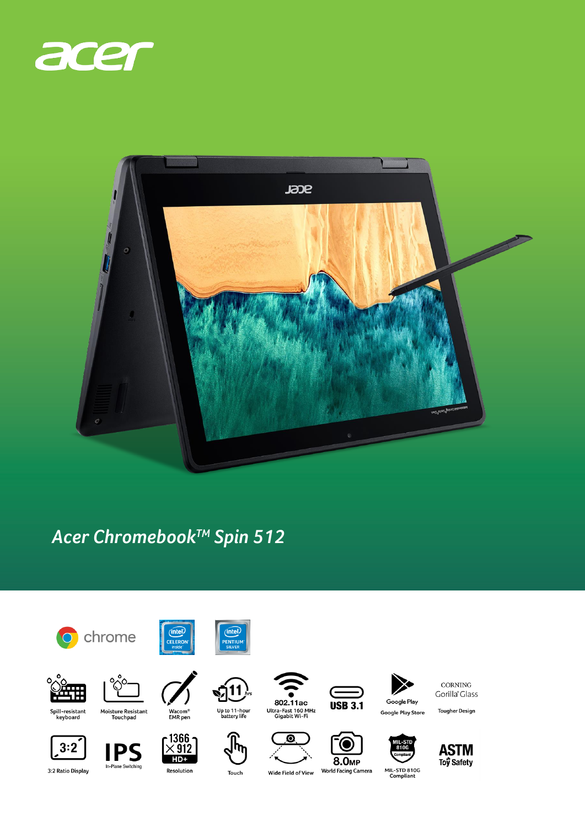



## Acer Chromebook™ Spin 512



CORNING Gorilla<sup>®</sup> Glass

**Tougher Design** 







In-Plane Switching

Touch

Resolution

Wide Field of View

**World Facing Camera**